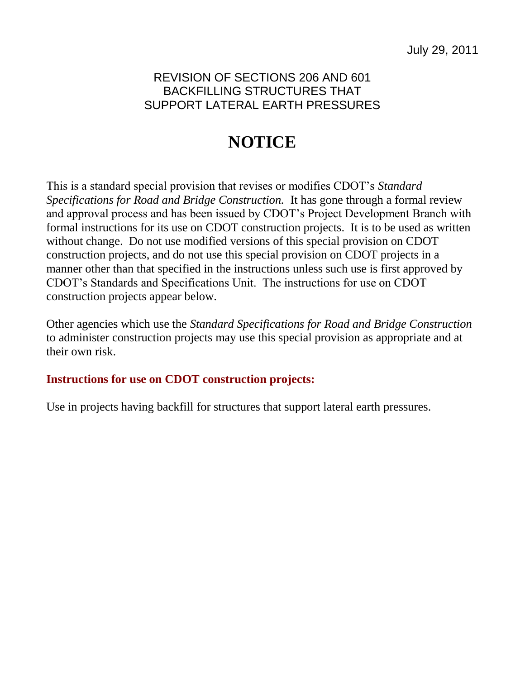## REVISION OF SECTIONS 206 AND 601 BACKFILLING STRUCTURES THAT SUPPORT LATERAL EARTH PRESSURES

## **NOTICE**

This is a standard special provision that revises or modifies CDOT's *Standard Specifications for Road and Bridge Construction.* It has gone through a formal review and approval process and has been issued by CDOT's Project Development Branch with formal instructions for its use on CDOT construction projects. It is to be used as written without change. Do not use modified versions of this special provision on CDOT construction projects, and do not use this special provision on CDOT projects in a manner other than that specified in the instructions unless such use is first approved by CDOT's Standards and Specifications Unit. The instructions for use on CDOT construction projects appear below.

Other agencies which use the *Standard Specifications for Road and Bridge Construction* to administer construction projects may use this special provision as appropriate and at their own risk.

## **Instructions for use on CDOT construction projects:**

Use in projects having backfill for structures that support lateral earth pressures.